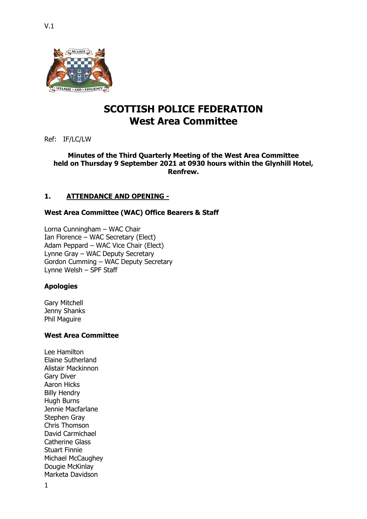

# **SCOTTISH POLICE FEDERATION West Area Committee**

Ref: IF/LC/LW

# **Minutes of the Third Quarterly Meeting of the West Area Committee held on Thursday 9 September 2021 at 0930 hours within the Glynhill Hotel, Renfrew.**

# **1. ATTENDANCE AND OPENING -**

# **West Area Committee (WAC) Office Bearers & Staff**

Lorna Cunningham – WAC Chair Ian Florence – WAC Secretary (Elect) Adam Peppard – WAC Vice Chair (Elect) Lynne Gray – WAC Deputy Secretary Gordon Cumming – WAC Deputy Secretary Lynne Welsh – SPF Staff

# **Apologies**

Gary Mitchell Jenny Shanks Phil Maguire

# **West Area Committee**

Lee Hamilton Elaine Sutherland Alistair Mackinnon Gary Diver Aaron Hicks Billy Hendry Hugh Burns Jennie Macfarlane Stephen Gray Chris Thomson David Carmichael Catherine Glass Stuart Finnie Michael McCaughey Dougie McKinlay Marketa Davidson

1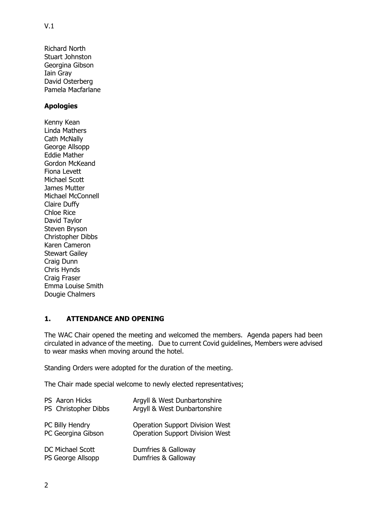Richard North Stuart Johnston Georgina Gibson Iain Gray David Osterberg Pamela Macfarlane

# **Apologies**

Kenny Kean Linda Mathers Cath McNally George Allsopp Eddie Mather Gordon McKeand Fiona Levett Michael Scott James Mutter Michael McConnell Claire Duffy Chloe Rice David Taylor Steven Bryson Christopher Dibbs Karen Cameron Stewart Gailey Craig Dunn Chris Hynds Craig Fraser Emma Louise Smith Dougie Chalmers

# **1. ATTENDANCE AND OPENING**

The WAC Chair opened the meeting and welcomed the members. Agenda papers had been circulated in advance of the meeting. Due to current Covid guidelines, Members were advised to wear masks when moving around the hotel.

Standing Orders were adopted for the duration of the meeting.

The Chair made special welcome to newly elected representatives;

| PS Aaron Hicks       | Argyll & West Dunbartonshire           |
|----------------------|----------------------------------------|
| PS Christopher Dibbs | Argyll & West Dunbartonshire           |
| PC Billy Hendry      | <b>Operation Support Division West</b> |
| PC Georgina Gibson   | <b>Operation Support Division West</b> |
| DC Michael Scott     | Dumfries & Galloway                    |
| PS George Allsopp    | Dumfries & Galloway                    |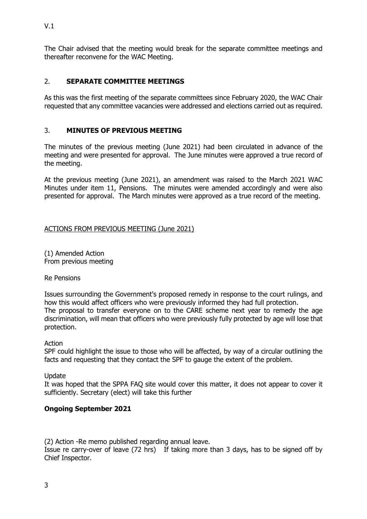The Chair advised that the meeting would break for the separate committee meetings and thereafter reconvene for the WAC Meeting.

# 2. **SEPARATE COMMITTEE MEETINGS**

As this was the first meeting of the separate committees since February 2020, the WAC Chair requested that any committee vacancies were addressed and elections carried out as required.

# 3. **MINUTES OF PREVIOUS MEETING**

The minutes of the previous meeting (June 2021) had been circulated in advance of the meeting and were presented for approval. The June minutes were approved a true record of the meeting.

At the previous meeting (June 2021), an amendment was raised to the March 2021 WAC Minutes under item 11, Pensions. The minutes were amended accordingly and were also presented for approval. The March minutes were approved as a true record of the meeting.

# ACTIONS FROM PREVIOUS MEETING (June 2021)

(1) Amended Action From previous meeting

Re Pensions

Issues surrounding the Government's proposed remedy in response to the court rulings, and how this would affect officers who were previously informed they had full protection. The proposal to transfer everyone on to the CARE scheme next year to remedy the age discrimination, will mean that officers who were previously fully protected by age will lose that protection.

Action

SPF could highlight the issue to those who will be affected, by way of a circular outlining the facts and requesting that they contact the SPF to gauge the extent of the problem.

Update

It was hoped that the SPPA FAQ site would cover this matter, it does not appear to cover it sufficiently. Secretary (elect) will take this further

# **Ongoing September 2021**

(2) Action -Re memo published regarding annual leave.

Issue re carry-over of leave (72 hrs) If taking more than 3 days, has to be signed off by Chief Inspector.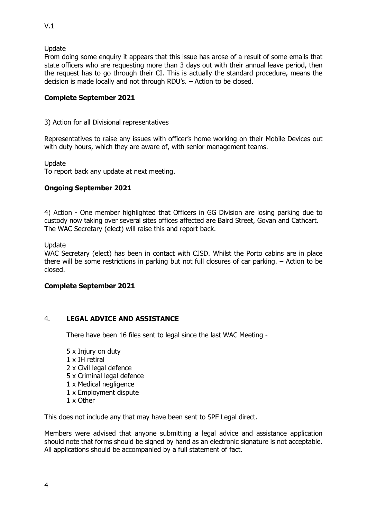### Update

From doing some enquiry it appears that this issue has arose of a result of some emails that state officers who are requesting more than 3 days out with their annual leave period, then the request has to go through their CI. This is actually the standard procedure, means the decision is made locally and not through RDU's. – Action to be closed.

### **Complete September 2021**

3) Action for all Divisional representatives

Representatives to raise any issues with officer's home working on their Mobile Devices out with duty hours, which they are aware of, with senior management teams.

Update

To report back any update at next meeting.

# **Ongoing September 2021**

4) Action - One member highlighted that Officers in GG Division are losing parking due to custody now taking over several sites offices affected are Baird Street, Govan and Cathcart. The WAC Secretary (elect) will raise this and report back.

Update

WAC Secretary (elect) has been in contact with CJSD. Whilst the Porto cabins are in place there will be some restrictions in parking but not full closures of car parking. – Action to be closed.

#### **Complete September 2021**

#### 4. **LEGAL ADVICE AND ASSISTANCE**

There have been 16 files sent to legal since the last WAC Meeting -

- 5 x Injury on duty 1 x IH retiral 2 x Civil legal defence 5 x Criminal legal defence 1 x Medical negligence 1 x Employment dispute
- 1 x Other

This does not include any that may have been sent to SPF Legal direct.

Members were advised that anyone submitting a legal advice and assistance application should note that forms should be signed by hand as an electronic signature is not acceptable. All applications should be accompanied by a full statement of fact.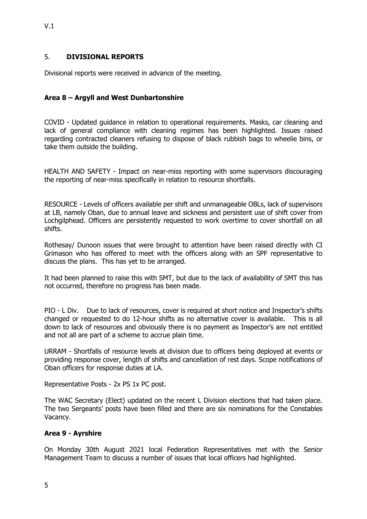# 5. **DIVISIONAL REPORTS**

Divisional reports were received in advance of the meeting.

# **Area 8 – Argyll and West Dunbartonshire**

COVID - Updated guidance in relation to operational requirements. Masks, car cleaning and lack of general compliance with cleaning regimes has been highlighted. Issues raised regarding contracted cleaners refusing to dispose of black rubbish bags to wheelie bins, or take them outside the building.

HEALTH AND SAFETY - Impact on near-miss reporting with some supervisors discouraging the reporting of near-miss specifically in relation to resource shortfalls.

RESOURCE - Levels of officers available per shift and unmanageable OBLs, lack of supervisors at LB, namely Oban, due to annual leave and sickness and persistent use of shift cover from Lochgilphead. Officers are persistently requested to work overtime to cover shortfall on all shifts.

Rothesay/ Dunoon issues that were brought to attention have been raised directly with CI Grimason who has offered to meet with the officers along with an SPF representative to discuss the plans. This has yet to be arranged.

It had been planned to raise this with SMT, but due to the lack of availability of SMT this has not occurred, therefore no progress has been made.

PIO - L Div. Due to lack of resources, cover is required at short notice and Inspector's shifts changed or requested to do 12-hour shifts as no alternative cover is available. This is all down to lack of resources and obviously there is no payment as Inspector's are not entitled and not all are part of a scheme to accrue plain time.

URRAM - Shortfalls of resource levels at division due to officers being deployed at events or providing response cover, length of shifts and cancellation of rest days. Scope notifications of Oban officers for response duties at LA.

Representative Posts - 2x PS 1x PC post.

The WAC Secretary (Elect) updated on the recent L Division elections that had taken place. The two Sergeants' posts have been filled and there are six nominations for the Constables Vacancy.

#### **Area 9 - Ayrshire**

On Monday 30th August 2021 local Federation Representatives met with the Senior Management Team to discuss a number of issues that local officers had highlighted.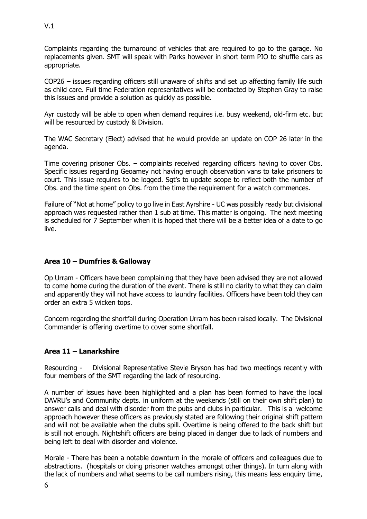Complaints regarding the turnaround of vehicles that are required to go to the garage. No replacements given. SMT will speak with Parks however in short term PIO to shuffle cars as appropriate.

COP26 – issues regarding officers still unaware of shifts and set up affecting family life such as child care. Full time Federation representatives will be contacted by Stephen Gray to raise this issues and provide a solution as quickly as possible.

Ayr custody will be able to open when demand requires i.e. busy weekend, old-firm etc. but will be resourced by custody & Division.

The WAC Secretary (Elect) advised that he would provide an update on COP 26 later in the agenda.

Time covering prisoner Obs. – complaints received regarding officers having to cover Obs. Specific issues regarding Geoamey not having enough observation vans to take prisoners to court. This issue requires to be logged. Sgt's to update scope to reflect both the number of Obs. and the time spent on Obs. from the time the requirement for a watch commences.

Failure of "Not at home" policy to go live in East Ayrshire - UC was possibly ready but divisional approach was requested rather than 1 sub at time. This matter is ongoing. The next meeting is scheduled for 7 September when it is hoped that there will be a better idea of a date to go live.

# **Area 10 – Dumfries & Galloway**

Op Urram - Officers have been complaining that they have been advised they are not allowed to come home during the duration of the event. There is still no clarity to what they can claim and apparently they will not have access to laundry facilities. Officers have been told they can order an extra 5 wicken tops.

Concern regarding the shortfall during Operation Urram has been raised locally. The Divisional Commander is offering overtime to cover some shortfall.

# **Area 11 – Lanarkshire**

Resourcing - Divisional Representative Stevie Bryson has had two meetings recently with four members of the SMT regarding the lack of resourcing.

A number of issues have been highlighted and a plan has been formed to have the local DAVRU's and Community depts. in uniform at the weekends (still on their own shift plan) to answer calls and deal with disorder from the pubs and clubs in particular. This is a welcome approach however these officers as previously stated are following their original shift pattern and will not be available when the clubs spill. Overtime is being offered to the back shift but is still not enough. Nightshift officers are being placed in danger due to lack of numbers and being left to deal with disorder and violence.

Morale - There has been a notable downturn in the morale of officers and colleagues due to abstractions. (hospitals or doing prisoner watches amongst other things). In turn along with the lack of numbers and what seems to be call numbers rising, this means less enquiry time,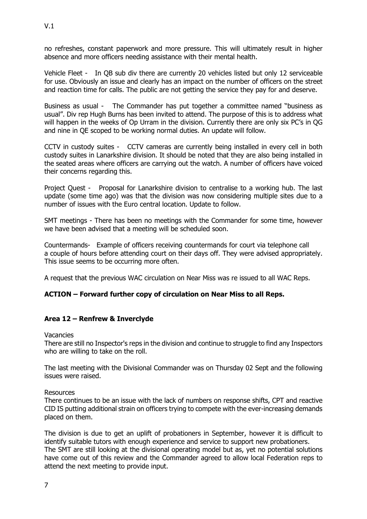no refreshes, constant paperwork and more pressure. This will ultimately result in higher absence and more officers needing assistance with their mental health.

Vehicle Fleet - In QB sub div there are currently 20 vehicles listed but only 12 serviceable for use. Obviously an issue and clearly has an impact on the number of officers on the street and reaction time for calls. The public are not getting the service they pay for and deserve.

Business as usual - The Commander has put together a committee named "business as usual". Div rep Hugh Burns has been invited to attend. The purpose of this is to address what will happen in the weeks of Op Urram in the division. Currently there are only six PC's in QG and nine in QE scoped to be working normal duties. An update will follow.

CCTV in custody suites - CCTV cameras are currently being installed in every cell in both custody suites in Lanarkshire division. It should be noted that they are also being installed in the seated areas where officers are carrying out the watch. A number of officers have voiced their concerns regarding this.

Project Quest - Proposal for Lanarkshire division to centralise to a working hub. The last update (some time ago) was that the division was now considering multiple sites due to a number of issues with the Euro central location. Update to follow.

SMT meetings - There has been no meetings with the Commander for some time, however we have been advised that a meeting will be scheduled soon.

Countermands- Example of officers receiving countermands for court via telephone call a couple of hours before attending court on their days off. They were advised appropriately. This issue seems to be occurring more often.

A request that the previous WAC circulation on Near Miss was re issued to all WAC Reps.

# **ACTION – Forward further copy of circulation on Near Miss to all Reps.**

#### **Area 12 – Renfrew & Inverclyde**

Vacancies

There are still no Inspector's reps in the division and continue to struggle to find any Inspectors who are willing to take on the roll.

The last meeting with the Divisional Commander was on Thursday 02 Sept and the following issues were raised.

Resources

There continues to be an issue with the lack of numbers on response shifts, CPT and reactive CID IS putting additional strain on officers trying to compete with the ever-increasing demands placed on them.

The division is due to get an uplift of probationers in September, however it is difficult to identify suitable tutors with enough experience and service to support new probationers. The SMT are still looking at the divisional operating model but as, yet no potential solutions have come out of this review and the Commander agreed to allow local Federation reps to attend the next meeting to provide input.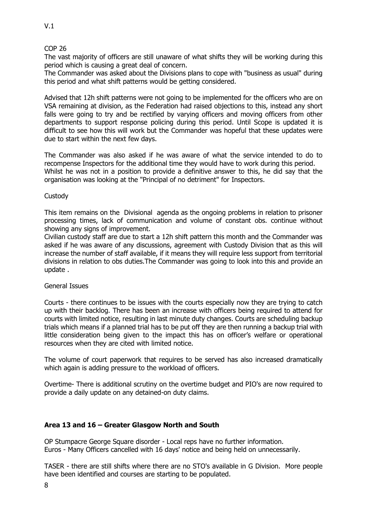### COP 26

The vast majority of officers are still unaware of what shifts they will be working during this period which is causing a great deal of concern.

The Commander was asked about the Divisions plans to cope with "business as usual" during this period and what shift patterns would be getting considered.

Advised that 12h shift patterns were not going to be implemented for the officers who are on VSA remaining at division, as the Federation had raised objections to this, instead any short falls were going to try and be rectified by varying officers and moving officers from other departments to support response policing during this period. Until Scope is updated it is difficult to see how this will work but the Commander was hopeful that these updates were due to start within the next few days.

The Commander was also asked if he was aware of what the service intended to do to recompense Inspectors for the additional time they would have to work during this period. Whilst he was not in a position to provide a definitive answer to this, he did say that the organisation was looking at the "Principal of no detriment" for Inspectors.

### **Custody**

This item remains on the Divisional agenda as the ongoing problems in relation to prisoner processing times, lack of communication and volume of constant obs. continue without showing any signs of improvement.

Civilian custody staff are due to start a 12h shift pattern this month and the Commander was asked if he was aware of any discussions, agreement with Custody Division that as this will increase the number of staff available, if it means they will require less support from territorial divisions in relation to obs duties.The Commander was going to look into this and provide an update .

#### General Issues

Courts - there continues to be issues with the courts especially now they are trying to catch up with their backlog. There has been an increase with officers being required to attend for courts with limited notice, resulting in last minute duty changes. Courts are scheduling backup trials which means if a planned trial has to be put off they are then running a backup trial with little consideration being given to the impact this has on officer's welfare or operational resources when they are cited with limited notice.

The volume of court paperwork that requires to be served has also increased dramatically which again is adding pressure to the workload of officers.

Overtime- There is additional scrutiny on the overtime budget and PIO's are now required to provide a daily update on any detained-on duty claims.

# **Area 13 and 16 – Greater Glasgow North and South**

OP Stumpacre George Square disorder - Local reps have no further information. Euros - Many Officers cancelled with 16 days' notice and being held on unnecessarily.

TASER - there are still shifts where there are no STO's available in G Division. More people have been identified and courses are starting to be populated.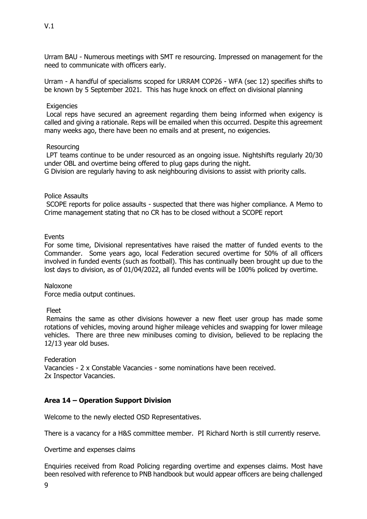Urram BAU - Numerous meetings with SMT re resourcing. Impressed on management for the need to communicate with officers early.

Urram - A handful of specialisms scoped for URRAM COP26 - WFA (sec 12) specifies shifts to be known by 5 September 2021. This has huge knock on effect on divisional planning

### **Exigencies**

 Local reps have secured an agreement regarding them being informed when exigency is called and giving a rationale. Reps will be emailed when this occurred. Despite this agreement many weeks ago, there have been no emails and at present, no exigencies.

### Resourcing

 LPT teams continue to be under resourced as an ongoing issue. Nightshifts regularly 20/30 under OBL and overtime being offered to plug gaps during the night. G Division are regularly having to ask neighbouring divisions to assist with priority calls.

### Police Assaults

 SCOPE reports for police assaults - suspected that there was higher compliance. A Memo to Crime management stating that no CR has to be closed without a SCOPE report

### Events

For some time, Divisional representatives have raised the matter of funded events to the Commander. Some years ago, local Federation secured overtime for 50% of all officers involved in funded events (such as football). This has continually been brought up due to the lost days to division, as of 01/04/2022, all funded events will be 100% policed by overtime.

#### Naloxone

Force media output continues.

#### Fleet

 Remains the same as other divisions however a new fleet user group has made some rotations of vehicles, moving around higher mileage vehicles and swapping for lower mileage vehicles. There are three new minibuses coming to division, believed to be replacing the 12/13 year old buses.

**Federation** Vacancies - 2 x Constable Vacancies - some nominations have been received. 2x Inspector Vacancies.

# **Area 14 – Operation Support Division**

Welcome to the newly elected OSD Representatives.

There is a vacancy for a H&S committee member. PI Richard North is still currently reserve.

Overtime and expenses claims

Enquiries received from Road Policing regarding overtime and expenses claims. Most have been resolved with reference to PNB handbook but would appear officers are being challenged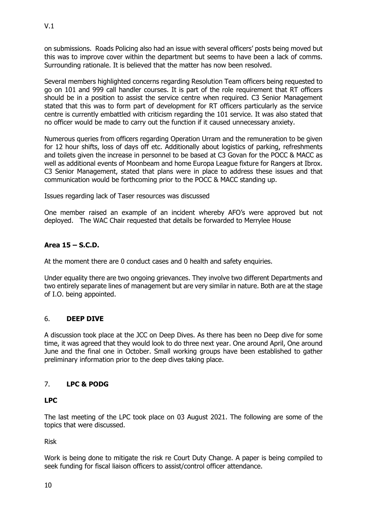on submissions. Roads Policing also had an issue with several officers' posts being moved but this was to improve cover within the department but seems to have been a lack of comms. Surrounding rationale. It is believed that the matter has now been resolved.

Several members highlighted concerns regarding Resolution Team officers being requested to go on 101 and 999 call handler courses. It is part of the role requirement that RT officers should be in a position to assist the service centre when required. C3 Senior Management stated that this was to form part of development for RT officers particularly as the service centre is currently embattled with criticism regarding the 101 service. It was also stated that no officer would be made to carry out the function if it caused unnecessary anxiety.

Numerous queries from officers regarding Operation Urram and the remuneration to be given for 12 hour shifts, loss of days off etc. Additionally about logistics of parking, refreshments and toilets given the increase in personnel to be based at C3 Govan for the POCC & MACC as well as additional events of Moonbeam and home Europa League fixture for Rangers at Ibrox. C3 Senior Management, stated that plans were in place to address these issues and that communication would be forthcoming prior to the POCC & MACC standing up.

Issues regarding lack of Taser resources was discussed

One member raised an example of an incident whereby AFO's were approved but not deployed. The WAC Chair requested that details be forwarded to Merrylee House

# **Area 15 – S.C.D.**

At the moment there are 0 conduct cases and 0 health and safety enquiries.

Under equality there are two ongoing grievances. They involve two different Departments and two entirely separate lines of management but are very similar in nature. Both are at the stage of I.O. being appointed.

# 6. **DEEP DIVE**

A discussion took place at the JCC on Deep Dives. As there has been no Deep dive for some time, it was agreed that they would look to do three next year. One around April, One around June and the final one in October. Small working groups have been established to gather preliminary information prior to the deep dives taking place.

# 7. **LPC & PODG**

# **LPC**

The last meeting of the LPC took place on 03 August 2021. The following are some of the topics that were discussed.

Risk

Work is being done to mitigate the risk re Court Duty Change. A paper is being compiled to seek funding for fiscal liaison officers to assist/control officer attendance.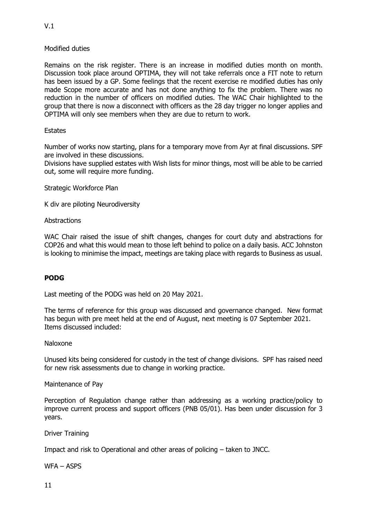# V.1

### Modified duties

Remains on the risk register. There is an increase in modified duties month on month. Discussion took place around OPTIMA, they will not take referrals once a FIT note to return has been issued by a GP. Some feelings that the recent exercise re modified duties has only made Scope more accurate and has not done anything to fix the problem. There was no reduction in the number of officers on modified duties. The WAC Chair highlighted to the group that there is now a disconnect with officers as the 28 day trigger no longer applies and OPTIMA will only see members when they are due to return to work.

### **Estates**

Number of works now starting, plans for a temporary move from Ayr at final discussions. SPF are involved in these discussions.

Divisions have supplied estates with Wish lists for minor things, most will be able to be carried out, some will require more funding.

Strategic Workforce Plan

K div are piloting Neurodiversity

Abstractions

WAC Chair raised the issue of shift changes, changes for court duty and abstractions for COP26 and what this would mean to those left behind to police on a daily basis. ACC Johnston is looking to minimise the impact, meetings are taking place with regards to Business as usual.

# **PODG**

Last meeting of the PODG was held on 20 May 2021.

The terms of reference for this group was discussed and governance changed. New format has begun with pre meet held at the end of August, next meeting is 07 September 2021. Items discussed included:

#### Naloxone

Unused kits being considered for custody in the test of change divisions. SPF has raised need for new risk assessments due to change in working practice.

Maintenance of Pay

Perception of Regulation change rather than addressing as a working practice/policy to improve current process and support officers (PNB 05/01). Has been under discussion for 3 years.

Driver Training

Impact and risk to Operational and other areas of policing – taken to JNCC.

WFA – ASPS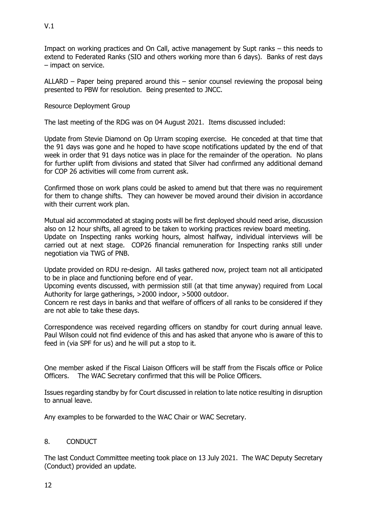Impact on working practices and On Call, active management by Supt ranks – this needs to extend to Federated Ranks (SIO and others working more than 6 days). Banks of rest days – impact on service.

ALLARD – Paper being prepared around this – senior counsel reviewing the proposal being presented to PBW for resolution. Being presented to JNCC.

### Resource Deployment Group

The last meeting of the RDG was on 04 August 2021. Items discussed included:

Update from Stevie Diamond on Op Urram scoping exercise. He conceded at that time that the 91 days was gone and he hoped to have scope notifications updated by the end of that week in order that 91 days notice was in place for the remainder of the operation. No plans for further uplift from divisions and stated that Silver had confirmed any additional demand for COP 26 activities will come from current ask.

Confirmed those on work plans could be asked to amend but that there was no requirement for them to change shifts. They can however be moved around their division in accordance with their current work plan.

Mutual aid accommodated at staging posts will be first deployed should need arise, discussion also on 12 hour shifts, all agreed to be taken to working practices review board meeting. Update on Inspecting ranks working hours, almost halfway, individual interviews will be carried out at next stage. COP26 financial remuneration for Inspecting ranks still under negotiation via TWG of PNB.

Update provided on RDU re-design. All tasks gathered now, project team not all anticipated to be in place and functioning before end of year.

Upcoming events discussed, with permission still (at that time anyway) required from Local Authority for large gatherings, >2000 indoor, >5000 outdoor.

Concern re rest days in banks and that welfare of officers of all ranks to be considered if they are not able to take these days.

Correspondence was received regarding officers on standby for court during annual leave. Paul Wilson could not find evidence of this and has asked that anyone who is aware of this to feed in (via SPF for us) and he will put a stop to it.

One member asked if the Fiscal Liaison Officers will be staff from the Fiscals office or Police Officers. The WAC Secretary confirmed that this will be Police Officers.

Issues regarding standby by for Court discussed in relation to late notice resulting in disruption to annual leave.

Any examples to be forwarded to the WAC Chair or WAC Secretary.

#### 8. CONDUCT

The last Conduct Committee meeting took place on 13 July 2021. The WAC Deputy Secretary (Conduct) provided an update.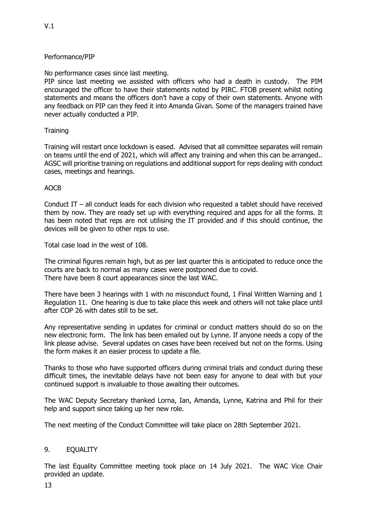# Performance/PIP

No performance cases since last meeting.

PIP since last meeting we assisted with officers who had a death in custody. The PIM encouraged the officer to have their statements noted by PIRC. FTOB present whilst noting statements and means the officers don't have a copy of their own statements. Anyone with any feedback on PIP can they feed it into Amanda Givan. Some of the managers trained have never actually conducted a PIP.

# **Training**

Training will restart once lockdown is eased. Advised that all committee separates will remain on teams until the end of 2021, which will affect any training and when this can be arranged.. AGSC will prioritise training on regulations and additional support for reps dealing with conduct cases, meetings and hearings.

# AOCB

Conduct IT – all conduct leads for each division who requested a tablet should have received them by now. They are ready set up with everything required and apps for all the forms. It has been noted that reps are not utilising the IT provided and if this should continue, the devices will be given to other reps to use.

Total case load in the west of 108.

The criminal figures remain high, but as per last quarter this is anticipated to reduce once the courts are back to normal as many cases were postponed due to covid. There have been 8 court appearances since the last WAC.

There have been 3 hearings with 1 with no misconduct found, 1 Final Written Warning and 1 Regulation 11. One hearing is due to take place this week and others will not take place until after COP 26 with dates still to be set.

Any representative sending in updates for criminal or conduct matters should do so on the new electronic form. The link has been emailed out by Lynne. If anyone needs a copy of the link please advise. Several updates on cases have been received but not on the forms. Using the form makes it an easier process to update a file.

Thanks to those who have supported officers during criminal trials and conduct during these difficult times, the inevitable delays have not been easy for anyone to deal with but your continued support is invaluable to those awaiting their outcomes.

The WAC Deputy Secretary thanked Lorna, Ian, Amanda, Lynne, Katrina and Phil for their help and support since taking up her new role.

The next meeting of the Conduct Committee will take place on 28th September 2021.

# 9. EQUALITY

The last Equality Committee meeting took place on 14 July 2021. The WAC Vice Chair provided an update.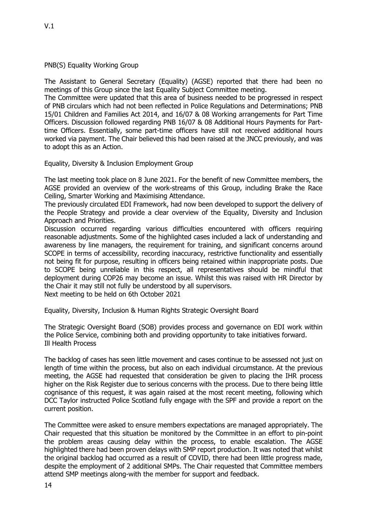PNB(S) Equality Working Group

The Assistant to General Secretary (Equality) (AGSE) reported that there had been no meetings of this Group since the last Equality Subject Committee meeting.

The Committee were updated that this area of business needed to be progressed in respect of PNB circulars which had not been reflected in Police Regulations and Determinations; PNB 15/01 Children and Families Act 2014, and 16/07 & 08 Working arrangements for Part Time Officers. Discussion followed regarding PNB 16/07 & 08 Additional Hours Payments for Parttime Officers. Essentially, some part-time officers have still not received additional hours worked via payment. The Chair believed this had been raised at the JNCC previously, and was to adopt this as an Action.

Equality, Diversity & Inclusion Employment Group

The last meeting took place on 8 June 2021. For the benefit of new Committee members, the AGSE provided an overview of the work-streams of this Group, including Brake the Race Ceiling, Smarter Working and Maximising Attendance.

The previously circulated EDI Framework, had now been developed to support the delivery of the People Strategy and provide a clear overview of the Equality, Diversity and Inclusion Approach and Priorities.

Discussion occurred regarding various difficulties encountered with officers requiring reasonable adjustments. Some of the highlighted cases included a lack of understanding and awareness by line managers, the requirement for training, and significant concerns around SCOPE in terms of accessibility, recording inaccuracy, restrictive functionality and essentially not being fit for purpose, resulting in officers being retained within inappropriate posts. Due to SCOPE being unreliable in this respect, all representatives should be mindful that deployment during COP26 may become an issue. Whilst this was raised with HR Director by the Chair it may still not fully be understood by all supervisors.

Next meeting to be held on 6th October 2021

Equality, Diversity, Inclusion & Human Rights Strategic Oversight Board

The Strategic Oversight Board (SOB) provides process and governance on EDI work within the Police Service, combining both and providing opportunity to take initiatives forward. Ill Health Process

The backlog of cases has seen little movement and cases continue to be assessed not just on length of time within the process, but also on each individual circumstance. At the previous meeting, the AGSE had requested that consideration be given to placing the IHR process higher on the Risk Register due to serious concerns with the process. Due to there being little cognisance of this request, it was again raised at the most recent meeting, following which DCC Taylor instructed Police Scotland fully engage with the SPF and provide a report on the current position.

The Committee were asked to ensure members expectations are managed appropriately. The Chair requested that this situation be monitored by the Committee in an effort to pin-point the problem areas causing delay within the process, to enable escalation. The AGSE highlighted there had been proven delays with SMP report production. It was noted that whilst the original backlog had occurred as a result of COVID, there had been little progress made, despite the employment of 2 additional SMPs. The Chair requested that Committee members attend SMP meetings along-with the member for support and feedback.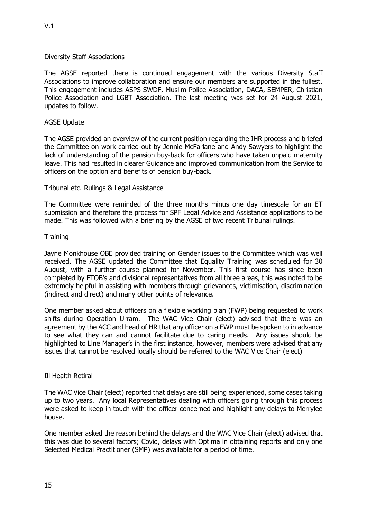### Diversity Staff Associations

The AGSE reported there is continued engagement with the various Diversity Staff Associations to improve collaboration and ensure our members are supported in the fullest. This engagement includes ASPS SWDF, Muslim Police Association, DACA, SEMPER, Christian Police Association and LGBT Association. The last meeting was set for 24 August 2021, updates to follow.

#### AGSE Update

The AGSE provided an overview of the current position regarding the IHR process and briefed the Committee on work carried out by Jennie McFarlane and Andy Sawyers to highlight the lack of understanding of the pension buy-back for officers who have taken unpaid maternity leave. This had resulted in clearer Guidance and improved communication from the Service to officers on the option and benefits of pension buy-back.

#### Tribunal etc. Rulings & Legal Assistance

The Committee were reminded of the three months minus one day timescale for an ET submission and therefore the process for SPF Legal Advice and Assistance applications to be made. This was followed with a briefing by the AGSE of two recent Tribunal rulings.

#### **Training**

Jayne Monkhouse OBE provided training on Gender issues to the Committee which was well received. The AGSE updated the Committee that Equality Training was scheduled for 30 August, with a further course planned for November. This first course has since been completed by FTOB's and divisional representatives from all three areas, this was noted to be extremely helpful in assisting with members through grievances, victimisation, discrimination (indirect and direct) and many other points of relevance.

One member asked about officers on a flexible working plan (FWP) being requested to work shifts during Operation Urram. The WAC Vice Chair (elect) advised that there was an agreement by the ACC and head of HR that any officer on a FWP must be spoken to in advance to see what they can and cannot facilitate due to caring needs. Any issues should be highlighted to Line Manager's in the first instance, however, members were advised that any issues that cannot be resolved locally should be referred to the WAC Vice Chair (elect)

#### Ill Health Retiral

The WAC Vice Chair (elect) reported that delays are still being experienced, some cases taking up to two years. Any local Representatives dealing with officers going through this process were asked to keep in touch with the officer concerned and highlight any delays to Merrylee house.

One member asked the reason behind the delays and the WAC Vice Chair (elect) advised that this was due to several factors; Covid, delays with Optima in obtaining reports and only one Selected Medical Practitioner (SMP) was available for a period of time.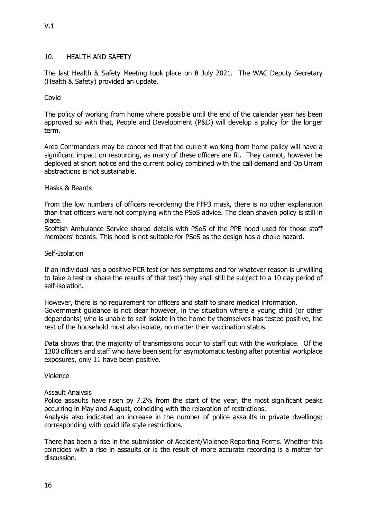#### 10. HEALTH AND SAFETY

The last Health & Safety Meeting took place on 8 July 2021. The WAC Deputy Secretary (Health & Safety) provided an update.

#### Covid

The policy of working from home where possible until the end of the calendar year has been approved so with that, People and Development (P&D) will develop a policy for the longer term.

Area Commanders may be concerned that the current working from home policy will have a significant impact on resourcing, as many of these officers are fit. They cannot, however be deployed at short notice and the current policy combined with the call demand and Op Urram abstractions is not sustainable.

#### Masks & Beards

From the low numbers of officers re-ordering the FFP3 mask, there is no other explanation than that officers were not complying with the PSoS advice. The clean shaven policy is still in place.

Scottish Ambulance Service shared details with PSoS of the PPE hood used for those staff members' beards. This hood is not suitable for PSoS as the design has a choke hazard.

#### Self-Isolation

If an individual has a positive PCR test (or has symptoms and for whatever reason is unwilling to take a test or share the results of that test) they shall still be subject to a 10 day period of self-isolation.

However, there is no requirement for officers and staff to share medical information. Government guidance is not clear however, in the situation where a young child (or other dependants) who is unable to self-isolate in the home by themselves has tested positive, the rest of the household must also isolate, no matter their vaccination status.

Data shows that the majority of transmissions occur to staff out with the workplace. Of the 1300 officers and staff who have been sent for asymptomatic testing after potential workplace exposures, only 11 have been positive.

Violence

#### Assault Analysis

Police assaults have risen by 7.2% from the start of the year, the most significant peaks occurring in May and August, coinciding with the relaxation of restrictions.

Analysis also indicated an increase in the number of police assaults in private dwellings; corresponding with covid life style restrictions.

There has been a rise in the submission of Accident/Violence Reporting Forms. Whether this coincides with a rise in assaults or is the result of more accurate recording is a matter for discussion.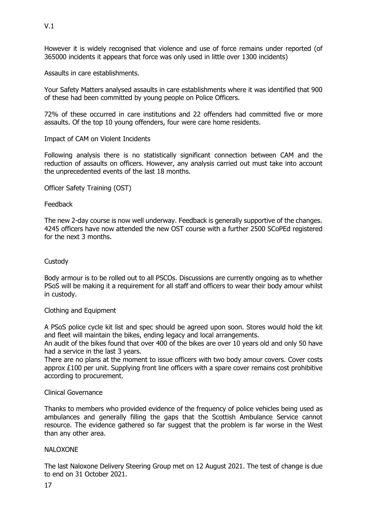However it is widely recognised that violence and use of force remains under reported (of 365000 incidents it appears that force was only used in little over 1300 incidents)

Assaults in care establishments.

Your Safety Matters analysed assaults in care establishments where it was identified that 900 of these had been committed by young people on Police Officers.

72% of these occurred in care institutions and 22 offenders had committed five or more assaults. Of the top 10 young offenders, four were care home residents.

Impact of CAM on Violent Incidents

Following analysis there is no statistically significant connection between CAM and the reduction of assaults on officers. However, any analysis carried out must take into account the unprecedented events of the last 18 months.

Officer Safety Training (OST)

Feedback

The new 2-day course is now well underway. Feedback is generally supportive of the changes. 4245 officers have now attended the new OST course with a further 2500 SCoPEd registered for the next 3 months.

#### **Custody**

Body armour is to be rolled out to all PSCOs. Discussions are currently ongoing as to whether PSoS will be making it a requirement for all staff and officers to wear their body amour whilst in custody.

#### Clothing and Equipment

A PSoS police cycle kit list and spec should be agreed upon soon. Stores would hold the kit and fleet will maintain the bikes, ending legacy and local arrangements.

An audit of the bikes found that over 400 of the bikes are over 10 years old and only 50 have had a service in the last 3 years.

There are no plans at the moment to issue officers with two body amour covers. Cover costs approx £100 per unit. Supplying front line officers with a spare cover remains cost prohibitive according to procurement.

#### Clinical Governance

Thanks to members who provided evidence of the frequency of police vehicles being used as ambulances and generally filling the gaps that the Scottish Ambulance Service cannot resource. The evidence gathered so far suggest that the problem is far worse in the West than any other area.

#### NALOXONE

The last Naloxone Delivery Steering Group met on 12 August 2021. The test of change is due to end on 31 October 2021.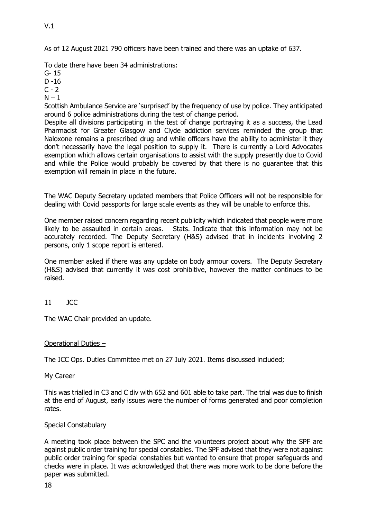To date there have been 34 administrations:

- G- 15
- D -16
- $C 2$
- $N 1$

Scottish Ambulance Service are 'surprised' by the frequency of use by police. They anticipated around 6 police administrations during the test of change period.

Despite all divisions participating in the test of change portraying it as a success, the Lead Pharmacist for Greater Glasgow and Clyde addiction services reminded the group that Naloxone remains a prescribed drug and while officers have the ability to administer it they don't necessarily have the legal position to supply it. There is currently a Lord Advocates exemption which allows certain organisations to assist with the supply presently due to Covid and while the Police would probably be covered by that there is no guarantee that this exemption will remain in place in the future.

The WAC Deputy Secretary updated members that Police Officers will not be responsible for dealing with Covid passports for large scale events as they will be unable to enforce this.

One member raised concern regarding recent publicity which indicated that people were more likely to be assaulted in certain areas. Stats. Indicate that this information may not be accurately recorded. The Deputy Secretary (H&S) advised that in incidents involving 2 persons, only 1 scope report is entered.

One member asked if there was any update on body armour covers. The Deputy Secretary (H&S) advised that currently it was cost prohibitive, however the matter continues to be raised.

# 11 JCC

The WAC Chair provided an update.

#### Operational Duties –

The JCC Ops. Duties Committee met on 27 July 2021. Items discussed included;

My Career

This was trialled in C3 and C div with 652 and 601 able to take part. The trial was due to finish at the end of August, early issues were the number of forms generated and poor completion rates.

#### Special Constabulary

A meeting took place between the SPC and the volunteers project about why the SPF are against public order training for special constables. The SPF advised that they were not against public order training for special constables but wanted to ensure that proper safeguards and checks were in place. It was acknowledged that there was more work to be done before the paper was submitted.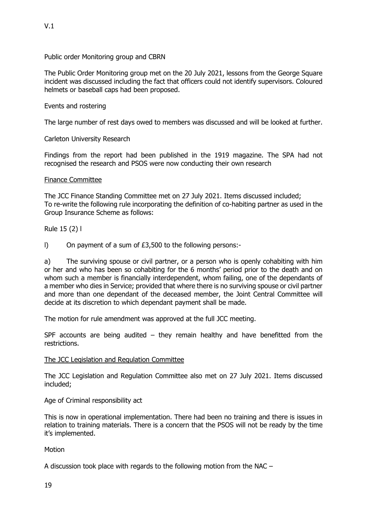V.1

Public order Monitoring group and CBRN

The Public Order Monitoring group met on the 20 July 2021, lessons from the George Square incident was discussed including the fact that officers could not identify supervisors. Coloured helmets or baseball caps had been proposed.

### Events and rostering

The large number of rest days owed to members was discussed and will be looked at further.

Carleton University Research

Findings from the report had been published in the 1919 magazine. The SPA had not recognised the research and PSOS were now conducting their own research

#### Finance Committee

The JCC Finance Standing Committee met on 27 July 2021. Items discussed included; To re-write the following rule incorporating the definition of co-habiting partner as used in the Group Insurance Scheme as follows:

Rule 15 (2) l

l) On payment of a sum of £3,500 to the following persons:-

a) The surviving spouse or civil partner, or a person who is openly cohabiting with him or her and who has been so cohabiting for the 6 months' period prior to the death and on whom such a member is financially interdependent, whom failing, one of the dependants of a member who dies in Service; provided that where there is no surviving spouse or civil partner and more than one dependant of the deceased member, the Joint Central Committee will decide at its discretion to which dependant payment shall be made.

The motion for rule amendment was approved at the full JCC meeting.

SPF accounts are being audited  $-$  they remain healthy and have benefitted from the restrictions.

#### The JCC Legislation and Regulation Committee

The JCC Legislation and Regulation Committee also met on 27 July 2021. Items discussed included;

Age of Criminal responsibility act

This is now in operational implementation. There had been no training and there is issues in relation to training materials. There is a concern that the PSOS will not be ready by the time it's implemented.

#### Motion

A discussion took place with regards to the following motion from the NAC –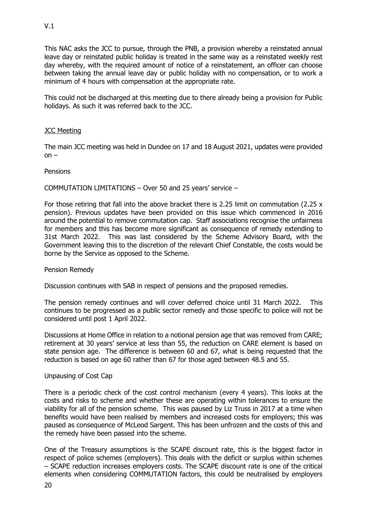This NAC asks the JCC to pursue, through the PNB, a provision whereby a reinstated annual leave day or reinstated public holiday is treated in the same way as a reinstated weekly rest day whereby, with the required amount of notice of a reinstatement, an officer can choose between taking the annual leave day or public holiday with no compensation, or to work a minimum of 4 hours with compensation at the appropriate rate.

This could not be discharged at this meeting due to there already being a provision for Public holidays. As such it was referred back to the JCC.

# **JCC Meeting**

The main JCC meeting was held in Dundee on 17 and 18 August 2021, updates were provided  $on -$ 

### **Pensions**

COMMUTATION LIMITATIONS – Over 50 and 25 years' service –

For those retiring that fall into the above bracket there is 2.25 limit on commutation (2.25  $\times$ pension). Previous updates have been provided on this issue which commenced in 2016 around the potential to remove commutation cap. Staff associations recognise the unfairness for members and this has become more significant as consequence of remedy extending to 31st March 2022. This was last considered by the Scheme Advisory Board, with the Government leaving this to the discretion of the relevant Chief Constable, the costs would be borne by the Service as opposed to the Scheme.

# Pension Remedy

Discussion continues with SAB in respect of pensions and the proposed remedies.

The pension remedy continues and will cover deferred choice until 31 March 2022. This continues to be progressed as a public sector remedy and those specific to police will not be considered until post 1 April 2022.

Discussions at Home Office in relation to a notional pension age that was removed from CARE; retirement at 30 years' service at less than 55, the reduction on CARE element is based on state pension age. The difference is between 60 and 67, what is being requested that the reduction is based on age 60 rather than 67 for those aged between 48.5 and 55.

#### Unpausing of Cost Cap

There is a periodic check of the cost control mechanism (every 4 years). This looks at the costs and risks to scheme and whether these are operating within tolerances to ensure the viability for all of the pension scheme. This was paused by Liz Truss in 2017 at a time when benefits would have been realised by members and increased costs for employers; this was paused as consequence of McLeod Sargent. This has been unfrozen and the costs of this and the remedy have been passed into the scheme.

One of the Treasury assumptions is the SCAPE discount rate, this is the biggest factor in respect of police schemes (employers). This deals with the deficit or surplus within schemes – SCAPE reduction increases employers costs. The SCAPE discount rate is one of the critical elements when considering COMMUTATION factors, this could be neutralised by employers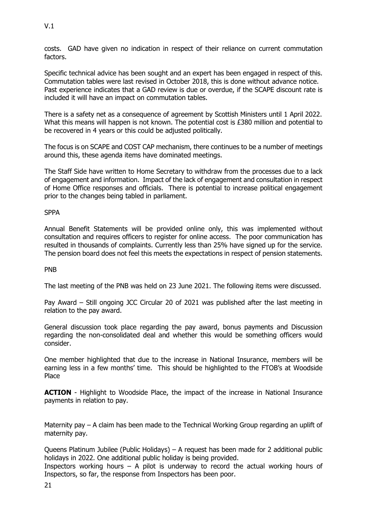costs. GAD have given no indication in respect of their reliance on current commutation factors.

Specific technical advice has been sought and an expert has been engaged in respect of this. Commutation tables were last revised in October 2018, this is done without advance notice. Past experience indicates that a GAD review is due or overdue, if the SCAPE discount rate is included it will have an impact on commutation tables.

There is a safety net as a consequence of agreement by Scottish Ministers until 1 April 2022. What this means will happen is not known. The potential cost is £380 million and potential to be recovered in 4 years or this could be adjusted politically.

The focus is on SCAPE and COST CAP mechanism, there continues to be a number of meetings around this, these agenda items have dominated meetings.

The Staff Side have written to Home Secretary to withdraw from the processes due to a lack of engagement and information. Impact of the lack of engagement and consultation in respect of Home Office responses and officials. There is potential to increase political engagement prior to the changes being tabled in parliament.

SPPA

Annual Benefit Statements will be provided online only, this was implemented without consultation and requires officers to register for online access. The poor communication has resulted in thousands of complaints. Currently less than 25% have signed up for the service. The pension board does not feel this meets the expectations in respect of pension statements.

PNB

The last meeting of the PNB was held on 23 June 2021. The following items were discussed.

Pay Award – Still ongoing JCC Circular 20 of 2021 was published after the last meeting in relation to the pay award.

General discussion took place regarding the pay award, bonus payments and Discussion regarding the non-consolidated deal and whether this would be something officers would consider.

One member highlighted that due to the increase in National Insurance, members will be earning less in a few months' time. This should be highlighted to the FTOB's at Woodside Place

**ACTION** - Highlight to Woodside Place, the impact of the increase in National Insurance payments in relation to pay.

Maternity pay – A claim has been made to the Technical Working Group regarding an uplift of maternity pay.

Queens Platinum Jubilee (Public Holidays) – A request has been made for 2 additional public holidays in 2022. One additional public holiday is being provided.

Inspectors working hours  $-$  A pilot is underway to record the actual working hours of Inspectors, so far, the response from Inspectors has been poor.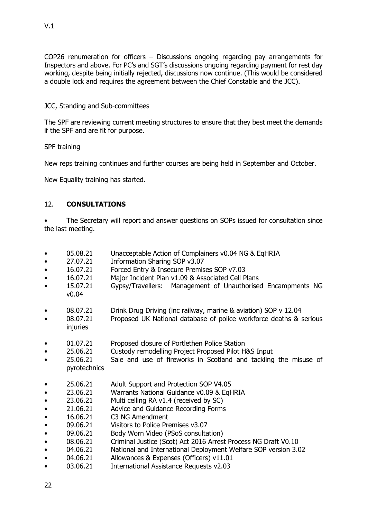COP26 renumeration for officers – Discussions ongoing regarding pay arrangements for Inspectors and above. For PC's and SGT's discussions ongoing regarding payment for rest day working, despite being initially rejected, discussions now continue. (This would be considered a double lock and requires the agreement between the Chief Constable and the JCC).

### JCC, Standing and Sub-committees

The SPF are reviewing current meeting structures to ensure that they best meet the demands if the SPF and are fit for purpose.

SPF training

New reps training continues and further courses are being held in September and October.

New Equality training has started.

# 12. **CONSULTATIONS**

• The Secretary will report and answer questions on SOPs issued for consultation since the last meeting.

- 05.08.21 Unacceptable Action of Complainers v0.04 NG & EqHRIA
- 27.07.21 Information Sharing SOP v3.07
- 16.07.21 Forced Entry & Insecure Premises SOP v7.03
- 16.07.21 Major Incident Plan v1.09 & Associated Cell Plans
- 15.07.21 Gypsy/Travellers: Management of Unauthorised Encampments NG v0.04
- 08.07.21 Drink Drug Driving (inc railway, marine & aviation) SOP v 12.04
- 08.07.21 Proposed UK National database of police workforce deaths & serious injuries
- 01.07.21 Proposed closure of Portlethen Police Station
- 25.06.21 Custody remodelling Project Proposed Pilot H&S Input
- 25.06.21 Sale and use of fireworks in Scotland and tackling the misuse of pyrotechnics
- 25.06.21 Adult Support and Protection SOP V4.05
- 23.06.21 Warrants National Guidance v0.09 & EqHRIA
- 23.06.21 Multi celling RA v1.4 (received by SC)
- 21.06.21 Advice and Guidance Recording Forms
- 16.06.21 C3 NG Amendment
- 09.06.21 Visitors to Police Premises v3.07
- 09.06.21 Body Worn Video (PSoS consultation)
- 08.06.21 Criminal Justice (Scot) Act 2016 Arrest Process NG Draft V0.10
- 04.06.21 National and International Deployment Welfare SOP version 3.02
- 04.06.21 Allowances & Expenses (Officers) v11.01
- 03.06.21 International Assistance Requests v2.03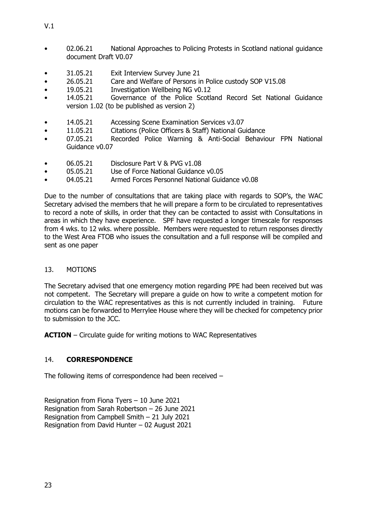- 02.06.21 National Approaches to Policing Protests in Scotland national guidance document Draft V0.07
- 31.05.21 Exit Interview Survey June 21
- 26.05.21 Care and Welfare of Persons in Police custody SOP V15.08
- 19.05.21 Investigation Wellbeing NG v0.12
- 14.05.21 Governance of the Police Scotland Record Set National Guidance version 1.02 (to be published as version 2)
- 14.05.21 Accessing Scene Examination Services v3.07
- 11.05.21 Citations (Police Officers & Staff) National Guidance
- 07.05.21 Recorded Police Warning & Anti-Social Behaviour FPN National Guidance v0.07
- 06.05.21 Disclosure Part V & PVG v1.08
- 05.05.21 Use of Force National Guidance v0.05
- 04.05.21 Armed Forces Personnel National Guidance v0.08

Due to the number of consultations that are taking place with regards to SOP's, the WAC Secretary advised the members that he will prepare a form to be circulated to representatives to record a note of skills, in order that they can be contacted to assist with Consultations in areas in which they have experience. SPF have requested a longer timescale for responses from 4 wks. to 12 wks. where possible. Members were requested to return responses directly to the West Area FTOB who issues the consultation and a full response will be compiled and sent as one paper

# 13. MOTIONS

The Secretary advised that one emergency motion regarding PPE had been received but was not competent. The Secretary will prepare a guide on how to write a competent motion for circulation to the WAC representatives as this is not currently included in training. Future motions can be forwarded to Merrylee House where they will be checked for competency prior to submission to the JCC.

**ACTION** – Circulate guide for writing motions to WAC Representatives

# 14. **CORRESPONDENCE**

The following items of correspondence had been received –

Resignation from Fiona Tyers – 10 June 2021 Resignation from Sarah Robertson – 26 June 2021 Resignation from Campbell Smith – 21 July 2021 Resignation from David Hunter – 02 August 2021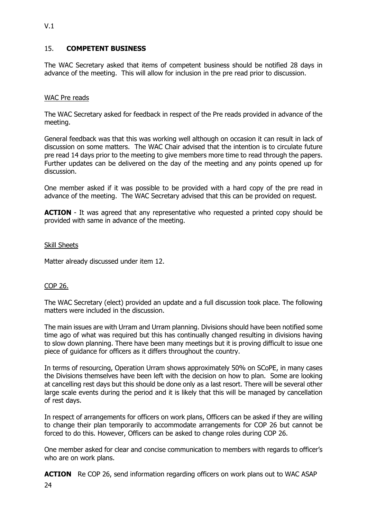# 15. **COMPETENT BUSINESS**

The WAC Secretary asked that items of competent business should be notified 28 days in advance of the meeting. This will allow for inclusion in the pre read prior to discussion.

### WAC Pre reads

The WAC Secretary asked for feedback in respect of the Pre reads provided in advance of the meeting.

General feedback was that this was working well although on occasion it can result in lack of discussion on some matters. The WAC Chair advised that the intention is to circulate future pre read 14 days prior to the meeting to give members more time to read through the papers. Further updates can be delivered on the day of the meeting and any points opened up for discussion.

One member asked if it was possible to be provided with a hard copy of the pre read in advance of the meeting. The WAC Secretary advised that this can be provided on request.

**ACTION** - It was agreed that any representative who requested a printed copy should be provided with same in advance of the meeting.

#### Skill Sheets

Matter already discussed under item 12.

#### COP 26.

24

The WAC Secretary (elect) provided an update and a full discussion took place. The following matters were included in the discussion.

The main issues are with Urram and Urram planning. Divisions should have been notified some time ago of what was required but this has continually changed resulting in divisions having to slow down planning. There have been many meetings but it is proving difficult to issue one piece of guidance for officers as it differs throughout the country.

In terms of resourcing, Operation Urram shows approximately 50% on SCoPE, in many cases the Divisions themselves have been left with the decision on how to plan. Some are looking at cancelling rest days but this should be done only as a last resort. There will be several other large scale events during the period and it is likely that this will be managed by cancellation of rest days.

In respect of arrangements for officers on work plans, Officers can be asked if they are willing to change their plan temporarily to accommodate arrangements for COP 26 but cannot be forced to do this. However, Officers can be asked to change roles during COP 26.

One member asked for clear and concise communication to members with regards to officer's who are on work plans.

**ACTION** Re COP 26, send information regarding officers on work plans out to WAC ASAP